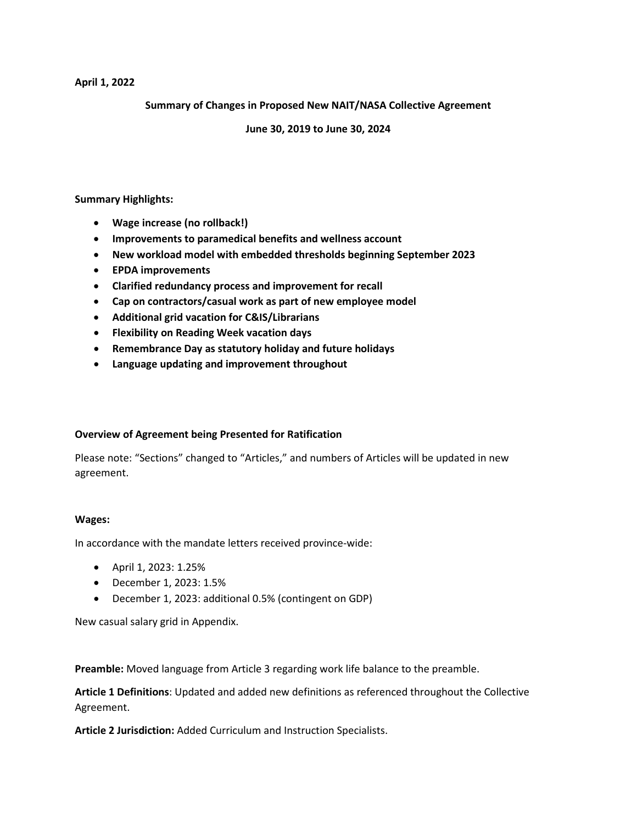### **April 1, 2022**

**Summary of Changes in Proposed New NAIT/NASA Collective Agreement** 

## **June 30, 2019 to June 30, 2024**

**Summary Highlights:**

- **Wage increase (no rollback!)**
- **Improvements to paramedical benefits and wellness account**
- **New workload model with embedded thresholds beginning September 2023**
- **EPDA improvements**
- **Clarified redundancy process and improvement for recall**
- **Cap on contractors/casual work as part of new employee model**
- **Additional grid vacation for C&IS/Librarians**
- **Flexibility on Reading Week vacation days**
- **Remembrance Day as statutory holiday and future holidays**
- **Language updating and improvement throughout**

# **Overview of Agreement being Presented for Ratification**

Please note: "Sections" changed to "Articles," and numbers of Articles will be updated in new agreement.

#### **Wages:**

In accordance with the mandate letters received province-wide:

- April 1, 2023: 1.25%
- December 1, 2023: 1.5%
- December 1, 2023: additional 0.5% (contingent on GDP)

New casual salary grid in Appendix.

**Preamble:** Moved language from Article 3 regarding work life balance to the preamble.

**Article 1 Definitions**: Updated and added new definitions as referenced throughout the Collective Agreement.

**Article 2 Jurisdiction:** Added Curriculum and Instruction Specialists.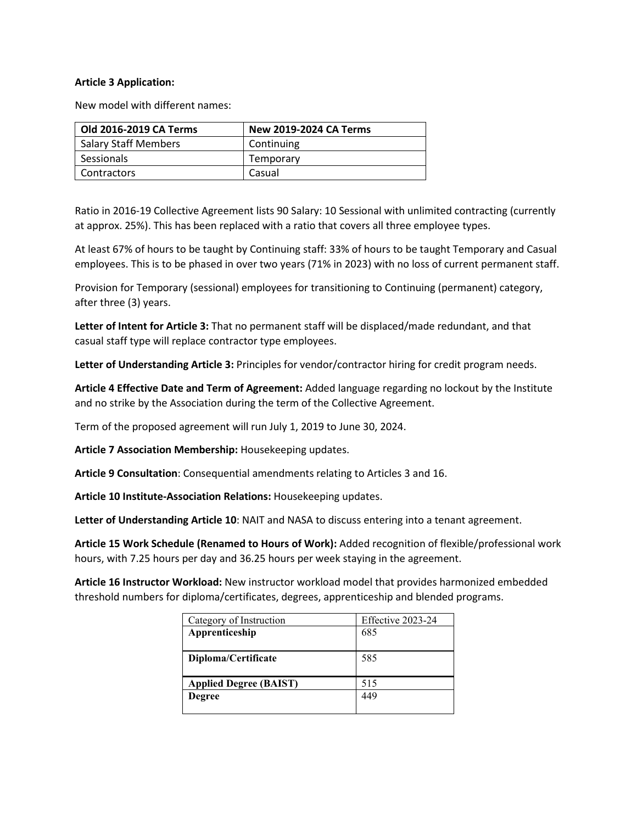## **Article 3 Application:**

New model with different names:

| Old 2016-2019 CA Terms      | <b>New 2019-2024 CA Terms</b> |
|-----------------------------|-------------------------------|
| <b>Salary Staff Members</b> | Continuing                    |
| Sessionals                  | Temporary                     |
| Contractors                 | Casual                        |

Ratio in 2016-19 Collective Agreement lists 90 Salary: 10 Sessional with unlimited contracting (currently at approx. 25%). This has been replaced with a ratio that covers all three employee types.

At least 67% of hours to be taught by Continuing staff: 33% of hours to be taught Temporary and Casual employees. This is to be phased in over two years (71% in 2023) with no loss of current permanent staff.

Provision for Temporary (sessional) employees for transitioning to Continuing (permanent) category, after three (3) years.

**Letter of Intent for Article 3:** That no permanent staff will be displaced/made redundant, and that casual staff type will replace contractor type employees.

**Letter of Understanding Article 3:** Principles for vendor/contractor hiring for credit program needs.

**Article 4 Effective Date and Term of Agreement:** Added language regarding no lockout by the Institute and no strike by the Association during the term of the Collective Agreement.

Term of the proposed agreement will run July 1, 2019 to June 30, 2024.

**Article 7 Association Membership:** Housekeeping updates.

**Article 9 Consultation**: Consequential amendments relating to Articles 3 and 16.

**Article 10 Institute-Association Relations:** Housekeeping updates.

**Letter of Understanding Article 10**: NAIT and NASA to discuss entering into a tenant agreement.

**Article 15 Work Schedule (Renamed to Hours of Work):** Added recognition of flexible/professional work hours, with 7.25 hours per day and 36.25 hours per week staying in the agreement.

**Article 16 Instructor Workload:** New instructor workload model that provides harmonized embedded threshold numbers for diploma/certificates, degrees, apprenticeship and blended programs.

| Category of Instruction       | Effective 2023-24 |
|-------------------------------|-------------------|
| Apprenticeship                | 685               |
|                               |                   |
| Diploma/Certificate           | 585               |
|                               |                   |
| <b>Applied Degree (BAIST)</b> | 515               |
| <b>Degree</b>                 | 449               |
|                               |                   |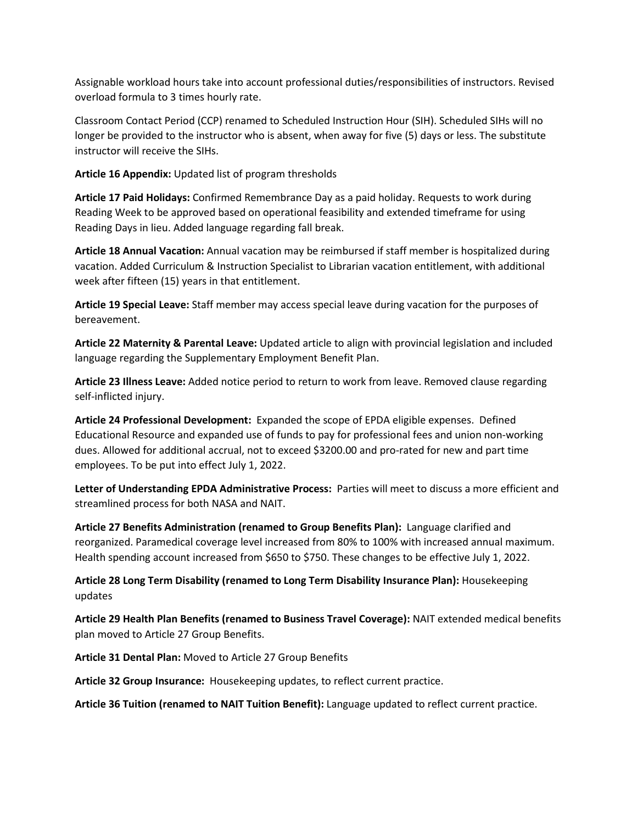Assignable workload hours take into account professional duties/responsibilities of instructors. Revised overload formula to 3 times hourly rate.

Classroom Contact Period (CCP) renamed to Scheduled Instruction Hour (SIH). Scheduled SIHs will no longer be provided to the instructor who is absent, when away for five (5) days or less. The substitute instructor will receive the SIHs.

**Article 16 Appendix:** Updated list of program thresholds

**Article 17 Paid Holidays:** Confirmed Remembrance Day as a paid holiday. Requests to work during Reading Week to be approved based on operational feasibility and extended timeframe for using Reading Days in lieu. Added language regarding fall break.

**Article 18 Annual Vacation:** Annual vacation may be reimbursed if staff member is hospitalized during vacation. Added Curriculum & Instruction Specialist to Librarian vacation entitlement, with additional week after fifteen (15) years in that entitlement.

**Article 19 Special Leave:** Staff member may access special leave during vacation for the purposes of bereavement.

**Article 22 Maternity & Parental Leave:** Updated article to align with provincial legislation and included language regarding the Supplementary Employment Benefit Plan.

**Article 23 Illness Leave:** Added notice period to return to work from leave. Removed clause regarding self-inflicted injury.

**Article 24 Professional Development:** Expanded the scope of EPDA eligible expenses. Defined Educational Resource and expanded use of funds to pay for professional fees and union non-working dues. Allowed for additional accrual, not to exceed \$3200.00 and pro-rated for new and part time employees. To be put into effect July 1, 2022.

**Letter of Understanding EPDA Administrative Process:** Parties will meet to discuss a more efficient and streamlined process for both NASA and NAIT.

**Article 27 Benefits Administration (renamed to Group Benefits Plan):** Language clarified and reorganized. Paramedical coverage level increased from 80% to 100% with increased annual maximum. Health spending account increased from \$650 to \$750. These changes to be effective July 1, 2022.

**Article 28 Long Term Disability (renamed to Long Term Disability Insurance Plan):** Housekeeping updates

**Article 29 Health Plan Benefits (renamed to Business Travel Coverage):** NAIT extended medical benefits plan moved to Article 27 Group Benefits.

**Article 31 Dental Plan:** Moved to Article 27 Group Benefits

**Article 32 Group Insurance:** Housekeeping updates, to reflect current practice.

**Article 36 Tuition (renamed to NAIT Tuition Benefit):** Language updated to reflect current practice.